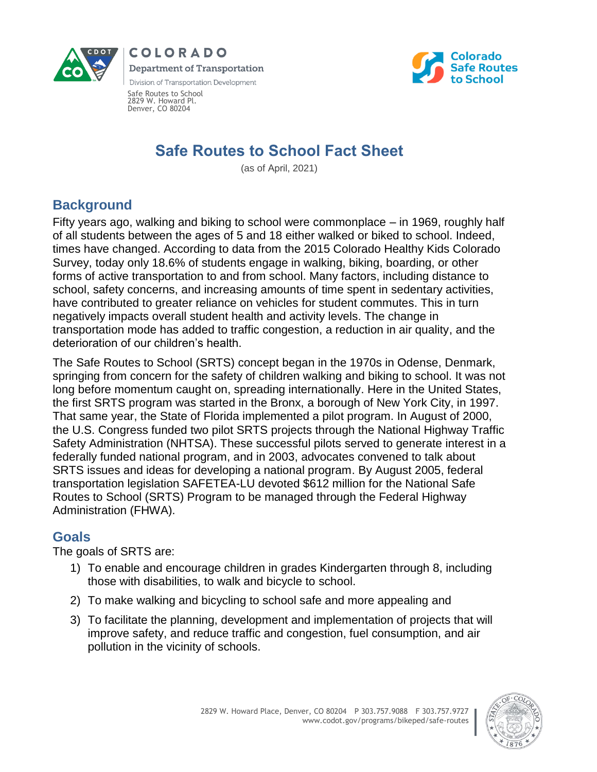





Safe Routes to School 2829 W. Howard Pl. Denver, CO 80204

# **Safe Routes to School Fact Sheet**

(as of April, 2021)

### **Background**

Fifty years ago, walking and biking to school were commonplace – in 1969, roughly half of all students between the ages of 5 and 18 either walked or biked to school. Indeed, times have changed. According to data from the 2015 Colorado Healthy Kids Colorado Survey, today only 18.6% of students engage in walking, biking, boarding, or other forms of active transportation to and from school. Many factors, including distance to school, safety concerns, and increasing amounts of time spent in sedentary activities, have contributed to greater reliance on vehicles for student commutes. This in turn negatively impacts overall student health and activity levels. The change in transportation mode has added to traffic congestion, a reduction in air quality, and the deterioration of our children's health.

The Safe Routes to School (SRTS) concept began in the 1970s in Odense, Denmark, springing from concern for the safety of children walking and biking to school. It was not long before momentum caught on, spreading internationally. Here in the United States, the first SRTS program was started in the Bronx, a borough of New York City, in 1997. That same year, the State of Florida implemented a pilot program. In August of 2000, the U.S. Congress funded two pilot SRTS projects through the National Highway Traffic Safety Administration (NHTSA). These successful pilots served to generate interest in a federally funded national program, and in 2003, advocates convened to talk about SRTS issues and ideas for developing a national program. By August 2005, federal transportation legislation SAFETEA-LU devoted \$612 million for the National Safe Routes to School (SRTS) Program to be managed through the Federal Highway Administration (FHWA).

### **Goals**

The goals of SRTS are:

- 1) To enable and encourage children in grades Kindergarten through 8, including those with disabilities, to walk and bicycle to school.
- 2) To make walking and bicycling to school safe and more appealing and
- 3) To facilitate the planning, development and implementation of projects that will improve safety, and reduce traffic and congestion, fuel consumption, and air pollution in the vicinity of schools.

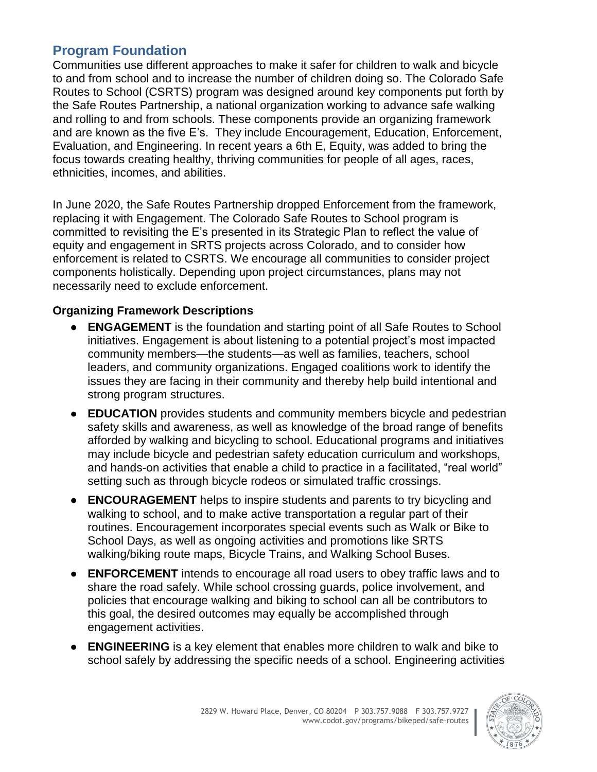### **Program Foundation**

Communities use different approaches to make it safer for children to walk and bicycle to and from school and to increase the number of children doing so. The Colorado Safe Routes to School (CSRTS) program was designed around key components put forth by the Safe Routes Partnership, a national organization working to advance safe walking and rolling to and from schools. These components provide an organizing framework and are known as the five E's. They include Encouragement, Education, Enforcement, Evaluation, and Engineering. In recent years a 6th E, Equity, was added to bring the focus towards creating healthy, thriving communities for people of all ages, races, ethnicities, incomes, and abilities.

In June 2020, the Safe Routes Partnership dropped Enforcement from the framework, replacing it with Engagement. The Colorado Safe Routes to School program is committed to revisiting the E's presented in its Strategic Plan to reflect the value of equity and engagement in SRTS projects across Colorado, and to consider how enforcement is related to CSRTS. We encourage all communities to consider project components holistically. Depending upon project circumstances, plans may not necessarily need to exclude enforcement.

#### **Organizing Framework Descriptions**

- **ENGAGEMENT** is the foundation and starting point of all Safe Routes to School initiatives. Engagement is about listening to a potential project's most impacted community members—the students—as well as families, teachers, school leaders, and community organizations. Engaged coalitions work to identify the issues they are facing in their community and thereby help build intentional and strong program structures.
- **EDUCATION** provides students and community members bicycle and pedestrian safety skills and awareness, as well as knowledge of the broad range of benefits afforded by walking and bicycling to school. Educational programs and initiatives may include bicycle and pedestrian safety education curriculum and workshops, and hands-on activities that enable a child to practice in a facilitated, "real world" setting such as through bicycle rodeos or simulated traffic crossings.
- **ENCOURAGEMENT** helps to inspire students and parents to try bicycling and walking to school, and to make active transportation a regular part of their routines. Encouragement incorporates special events such as Walk or Bike to School Days, as well as ongoing activities and promotions like SRTS walking/biking route maps, Bicycle Trains, and Walking School Buses.
- **ENFORCEMENT** intends to encourage all road users to obey traffic laws and to share the road safely. While school crossing guards, police involvement, and policies that encourage walking and biking to school can all be contributors to this goal, the desired outcomes may equally be accomplished through engagement activities.
- **ENGINEERING** is a key element that enables more children to walk and bike to school safely by addressing the specific needs of a school. Engineering activities

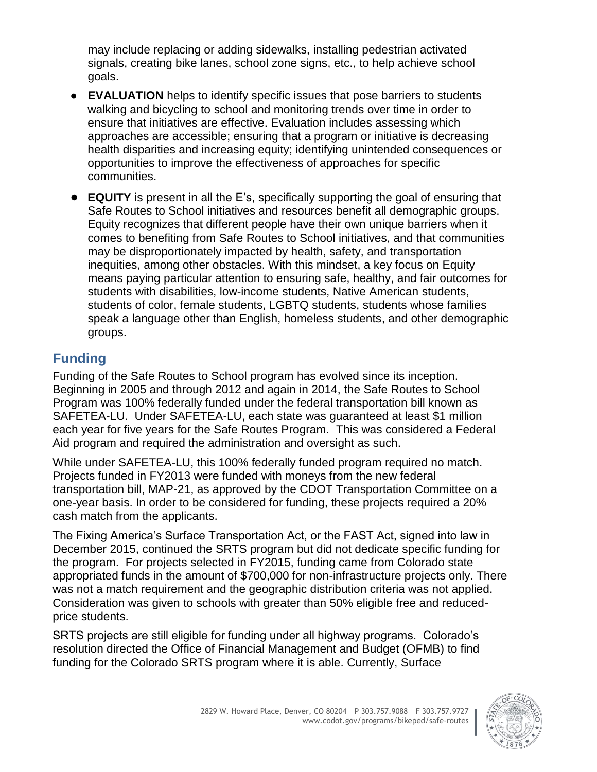may include replacing or adding sidewalks, installing pedestrian activated signals, creating bike lanes, school zone signs, etc., to help achieve school goals.

- **EVALUATION** helps to identify specific issues that pose barriers to students walking and bicycling to school and monitoring trends over time in order to ensure that initiatives are effective. Evaluation includes assessing which approaches are accessible; ensuring that a program or initiative is decreasing health disparities and increasing equity; identifying unintended consequences or opportunities to improve the effectiveness of approaches for specific communities.
- **EQUITY** is present in all the E's, specifically supporting the goal of ensuring that Safe Routes to School initiatives and resources benefit all demographic groups. Equity recognizes that different people have their own unique barriers when it comes to benefiting from Safe Routes to School initiatives, and that communities may be disproportionately impacted by health, safety, and transportation inequities, among other obstacles. With this mindset, a key focus on Equity means paying particular attention to ensuring safe, healthy, and fair outcomes for students with disabilities, low-income students, Native American students, students of color, female students, LGBTQ students, students whose families speak a language other than English, homeless students, and other demographic groups.

# **Funding**

Funding of the Safe Routes to School program has evolved since its inception. Beginning in 2005 and through 2012 and again in 2014, the Safe Routes to School Program was 100% federally funded under the federal transportation bill known as SAFETEA-LU. Under SAFETEA-LU, each state was guaranteed at least \$1 million each year for five years for the Safe Routes Program. This was considered a Federal Aid program and required the administration and oversight as such.

While under SAFETEA-LU, this 100% federally funded program required no match. Projects funded in FY2013 were funded with moneys from the new federal transportation bill, MAP-21, as approved by the CDOT Transportation Committee on a one-year basis. In order to be considered for funding, these projects required a 20% cash match from the applicants.

The Fixing America's Surface Transportation Act, or the FAST Act, signed into law in December 2015, continued the SRTS program but did not dedicate specific funding for the program. For projects selected in FY2015, funding came from Colorado state appropriated funds in the amount of \$700,000 for non-infrastructure projects only. There was not a match requirement and the geographic distribution criteria was not applied. Consideration was given to schools with greater than 50% eligible free and reducedprice students.

SRTS projects are still eligible for funding under all highway programs. Colorado's resolution directed the Office of Financial Management and Budget (OFMB) to find funding for the Colorado SRTS program where it is able. Currently, Surface

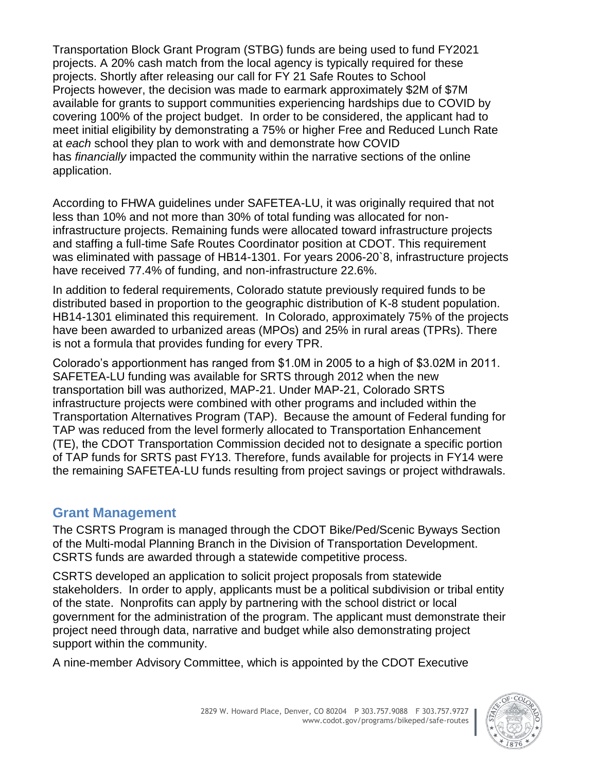Transportation Block Grant Program (STBG) funds are being used to fund FY2021 projects. A 20% cash match from the local agency is typically required for these projects. Shortly after releasing our call for FY 21 Safe Routes to School Projects however, the decision was made to earmark approximately \$2M of \$7M available for grants to support communities experiencing hardships due to COVID by covering 100% of the project budget. In order to be considered, the applicant had to meet initial eligibility by demonstrating a 75% or higher Free and Reduced Lunch Rate at *each* school they plan to work with and demonstrate how COVID has *financially* impacted the community within the narrative sections of the online application.

According to FHWA guidelines under SAFETEA-LU, it was originally required that not less than 10% and not more than 30% of total funding was allocated for noninfrastructure projects. Remaining funds were allocated toward infrastructure projects and staffing a full-time Safe Routes Coordinator position at CDOT. This requirement was eliminated with passage of HB14-1301. For years 2006-20`8, infrastructure projects have received 77.4% of funding, and non-infrastructure 22.6%.

In addition to federal requirements, Colorado statute previously required funds to be distributed based in proportion to the geographic distribution of K-8 student population. HB14-1301 eliminated this requirement. In Colorado, approximately 75% of the projects have been awarded to urbanized areas (MPOs) and 25% in rural areas (TPRs). There is not a formula that provides funding for every TPR.

Colorado's apportionment has ranged from \$1.0M in 2005 to a high of \$3.02M in 2011. SAFETEA-LU funding was available for SRTS through 2012 when the new transportation bill was authorized, MAP-21. Under MAP-21, Colorado SRTS infrastructure projects were combined with other programs and included within the Transportation Alternatives Program (TAP). Because the amount of Federal funding for TAP was reduced from the level formerly allocated to Transportation Enhancement (TE), the CDOT Transportation Commission decided not to designate a specific portion of TAP funds for SRTS past FY13. Therefore, funds available for projects in FY14 were the remaining SAFETEA-LU funds resulting from project savings or project withdrawals.

#### **Grant Management**

The CSRTS Program is managed through the CDOT Bike/Ped/Scenic Byways Section of the Multi-modal Planning Branch in the Division of Transportation Development. CSRTS funds are awarded through a statewide competitive process.

CSRTS developed an application to solicit project proposals from statewide stakeholders. In order to apply, applicants must be a political subdivision or tribal entity of the state. Nonprofits can apply by partnering with the school district or local government for the administration of the program. The applicant must demonstrate their project need through data, narrative and budget while also demonstrating project support within the community.

A nine-member Advisory Committee, which is appointed by the CDOT Executive

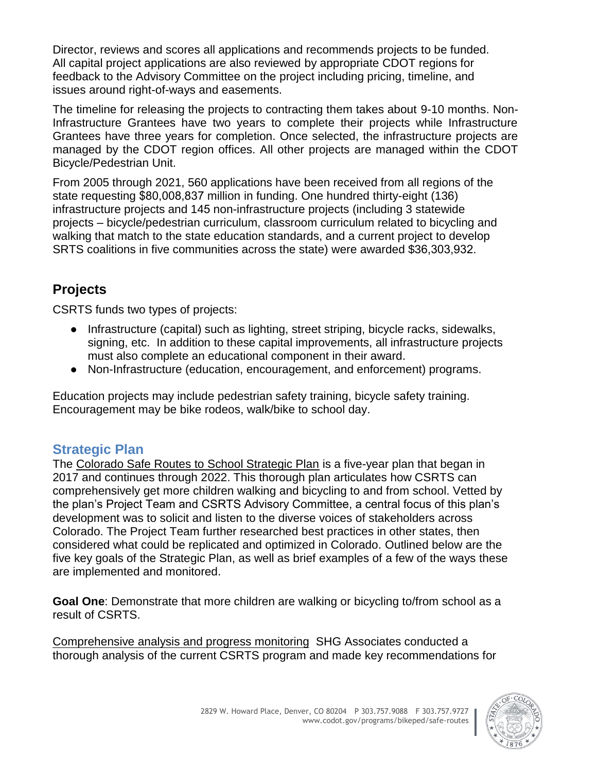Director, reviews and scores all applications and recommends projects to be funded. All capital project applications are also reviewed by appropriate CDOT regions for feedback to the Advisory Committee on the project including pricing, timeline, and issues around right-of-ways and easements.

The timeline for releasing the projects to contracting them takes about 9-10 months. Non-Infrastructure Grantees have two years to complete their projects while Infrastructure Grantees have three years for completion. Once selected, the infrastructure projects are managed by the CDOT region offices. All other projects are managed within the CDOT Bicycle/Pedestrian Unit.

From 2005 through 2021, 560 applications have been received from all regions of the state requesting \$80,008,837 million in funding. One hundred thirty-eight (136) infrastructure projects and 145 non-infrastructure projects (including 3 statewide projects – bicycle/pedestrian curriculum, classroom curriculum related to bicycling and walking that match to the state education standards, and a current project to develop SRTS coalitions in five communities across the state) were awarded \$36,303,932.

# **Projects**

CSRTS funds two types of projects:

- Infrastructure (capital) such as lighting, street striping, bicycle racks, sidewalks, signing, etc. In addition to these capital improvements, all infrastructure projects must also complete an educational component in their award.
- Non-Infrastructure (education, encouragement, and enforcement) programs.

Education projects may include pedestrian safety training, bicycle safety training. Encouragement may be bike rodeos, walk/bike to school day.

### **Strategic Plan**

The [Colorado Safe Routes to School Strategic Plan](https://www.codot.gov/programs/bikeped/safe-routes/assets/archives/fiscal-year-2017-documents/csrts-external-strategic-plan-2017-2022) is a five-year plan that began in 2017 and continues through 2022. This thorough plan articulates how CSRTS can comprehensively get more children walking and bicycling to and from school. Vetted by the plan's Project Team and CSRTS Advisory Committee, a central focus of this plan's development was to solicit and listen to the diverse voices of stakeholders across Colorado. The Project Team further researched best practices in other states, then considered what could be replicated and optimized in Colorado. Outlined below are the five key goals of the Strategic Plan, as well as brief examples of a few of the ways these are implemented and monitored.

**Goal One**: Demonstrate that more children are walking or bicycling to/from school as a result of CSRTS.

Comprehensive analysis and progress monitoring SHG Associates conducted a thorough analysis of the current CSRTS program and made key recommendations for

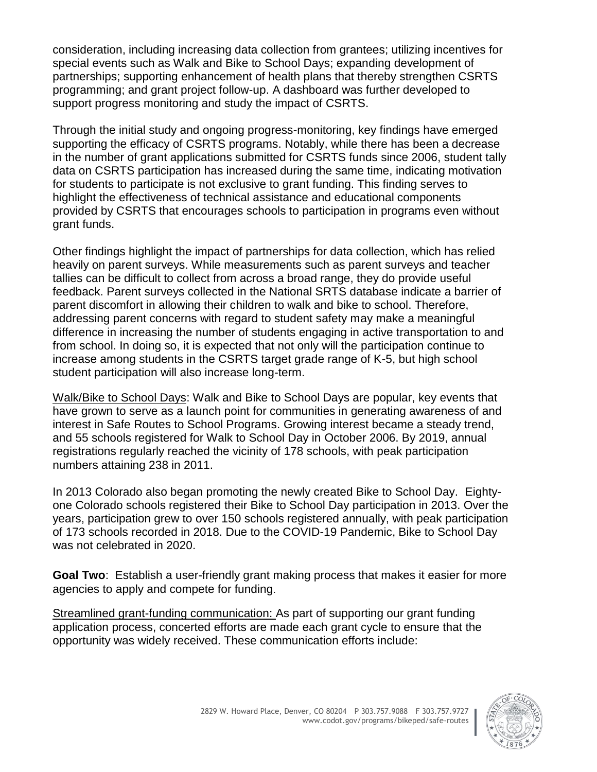consideration, including increasing data collection from grantees; utilizing incentives for special events such as Walk and Bike to School Days; expanding development of partnerships; supporting enhancement of health plans that thereby strengthen CSRTS programming; and grant project follow-up. A dashboard was further developed to support progress monitoring and study the impact of CSRTS.

Through the initial study and ongoing progress-monitoring, key findings have emerged supporting the efficacy of CSRTS programs. Notably, while there has been a decrease in the number of grant applications submitted for CSRTS funds since 2006, student tally data on CSRTS participation has increased during the same time, indicating motivation for students to participate is not exclusive to grant funding. This finding serves to highlight the effectiveness of technical assistance and educational components provided by CSRTS that encourages schools to participation in programs even without grant funds.

Other findings highlight the impact of partnerships for data collection, which has relied heavily on parent surveys. While measurements such as parent surveys and teacher tallies can be difficult to collect from across a broad range, they do provide useful feedback. Parent surveys collected in the National SRTS database indicate a barrier of parent discomfort in allowing their children to walk and bike to school. Therefore, addressing parent concerns with regard to student safety may make a meaningful difference in increasing the number of students engaging in active transportation to and from school. In doing so, it is expected that not only will the participation continue to increase among students in the CSRTS target grade range of K-5, but high school student participation will also increase long-term.

Walk/Bike to School Days: Walk and Bike to School Days are popular, key events that have grown to serve as a launch point for communities in generating awareness of and interest in Safe Routes to School Programs. Growing interest became a steady trend, and 55 schools registered for Walk to School Day in October 2006. By 2019, annual registrations regularly reached the vicinity of 178 schools, with peak participation numbers attaining 238 in 2011.

In 2013 Colorado also began promoting the newly created Bike to School Day. Eightyone Colorado schools registered their Bike to School Day participation in 2013. Over the years, participation grew to over 150 schools registered annually, with peak participation of 173 schools recorded in 2018. Due to the COVID-19 Pandemic, Bike to School Day was not celebrated in 2020.

**Goal Two**: Establish a user-friendly grant making process that makes it easier for more agencies to apply and compete for funding.

Streamlined grant-funding communication: As part of supporting our grant funding application process, concerted efforts are made each grant cycle to ensure that the opportunity was widely received. These communication efforts include:

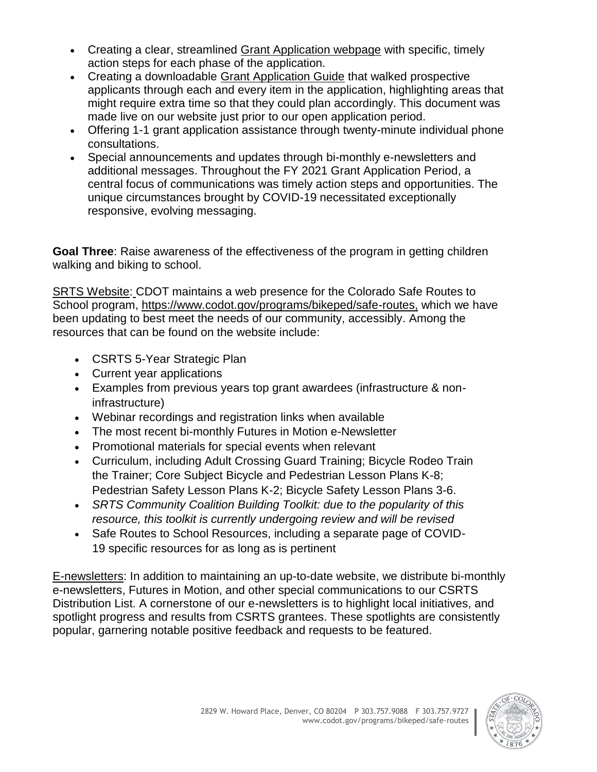- Creating a clear, streamlined [Grant Application webpage](https://www.codot.gov/programs/bikeped/safe-routes/grantapplication) with specific, timely action steps for each phase of the application.
- Creating a downloadable [Grant Application Guide](https://www.codot.gov/programs/bikeped/safe-routes/assets/fy-2021-guidelines-and-instructions-with-updates-highlighted-in-yellow-version-sept-3-2020.pdf/) that walked prospective applicants through each and every item in the application, highlighting areas that might require extra time so that they could plan accordingly. This document was made live on our website just prior to our open application period.
- Offering 1-1 grant application assistance through twenty-minute individual phone consultations.
- Special announcements and updates through bi-monthly e-newsletters and additional messages. Throughout the FY 2021 Grant Application Period, a central focus of communications was timely action steps and opportunities. The unique circumstances brought by COVID-19 necessitated exceptionally responsive, evolving messaging.

**Goal Three**: Raise awareness of the effectiveness of the program in getting children walking and biking to school.

SRTS Website: CDOT maintains a web presence for the Colorado Safe Routes to School program, [https://www.codot.gov/programs/bikeped/safe-routes,](https://www.codot.gov/programs/bikeped/safe-routes) which we have been updating to best meet the needs of our community, accessibly. Among the resources that can be found on the website include:

- CSRTS 5-Year Strategic Plan
- Current year applications
- Examples from previous years top grant awardees (infrastructure & noninfrastructure)
- Webinar recordings and registration links when available
- The most recent bi-monthly Futures in Motion e-Newsletter
- Promotional materials for special events when relevant
- Curriculum, including Adult Crossing Guard Training; Bicycle Rodeo Train the Trainer; Core Subject Bicycle and Pedestrian Lesson Plans K-8; Pedestrian Safety Lesson Plans K-2; Bicycle Safety Lesson Plans 3-6.
- *SRTS Community Coalition Building Toolkit: due to the popularity of this resource, this toolkit is currently undergoing review and will be revised*
- Safe Routes to School Resources, including a separate page of COVID-19 specific resources for as long as is pertinent

E-newsletters: In addition to maintaining an up-to-date website, we distribute bi-monthly e-newsletters, Futures in Motion, and other special communications to our CSRTS Distribution List. A cornerstone of our e-newsletters is to highlight local initiatives, and spotlight progress and results from CSRTS grantees. These spotlights are consistently popular, garnering notable positive feedback and requests to be featured.

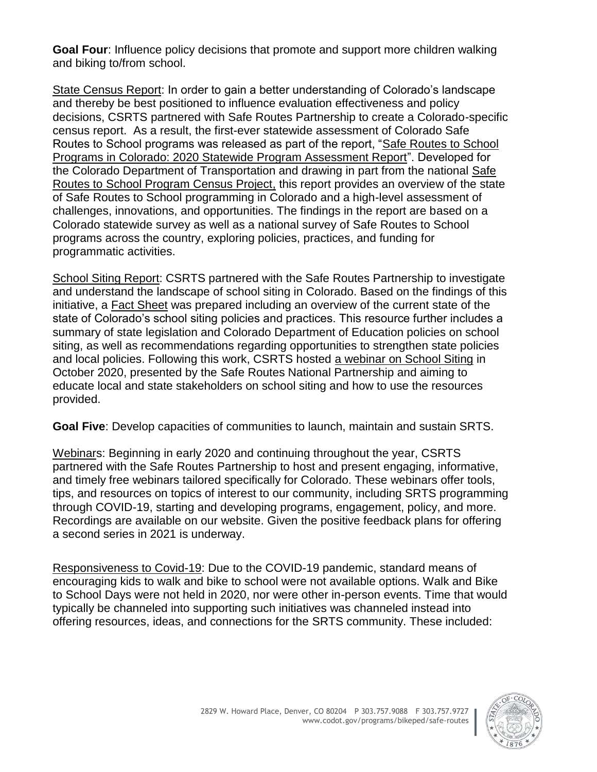**Goal Four**: Influence policy decisions that promote and support more children walking and biking to/from school.

State Census Report: In order to gain a better understanding of Colorado's landscape and thereby be best positioned to influence evaluation effectiveness and policy decisions, CSRTS partnered with Safe Routes Partnership to create a Colorado-specific census report. As a result, the first-ever statewide assessment of Colorado Safe Routes to School programs was released as part of the report, ["Safe Routes](https://www.codot.gov/programs/bikeped/safe-routes/assets/colorado-census-report-9-14-final.pdf) to School [Programs in Colorado: 2020 Statewide Program Assessment Report"](https://www.codot.gov/programs/bikeped/safe-routes/assets/colorado-census-report-9-14-final.pdf). Developed for the Colorado Department of Transportation and drawing in part from the national [Safe](https://www.saferoutespartnership.org/resources/report/srts-census-project)  [Routes to School Program Census Project,](https://www.saferoutespartnership.org/resources/report/srts-census-project) this report provides an overview of the state of Safe Routes to School programming in Colorado and a high-level assessment of challenges, innovations, and opportunities. The findings in the report are based on a Colorado statewide survey as well as a national survey of Safe Routes to School programs across the country, exploring policies, practices, and funding for programmatic activities.

School Siting Report: CSRTS partnered with the Safe Routes Partnership to investigate and understand the landscape of school siting in Colorado. Based on the findings of this initiative, a [Fact Sheet](https://www.codot.gov/programs/bikeped/safe-routes/assets/co-school-siting-factsheet_final.pdf) was prepared including an overview of the current state of the state of Colorado's school siting policies and practices. This resource further includes a summary of state legislation and Colorado Department of Education policies on school siting, as well as recommendations regarding opportunities to strengthen state policies and local policies. Following this work, CSRTS hosted [a webinar on School Siting](https://www.codot.gov/programs/bikeped/safe-routes/webinars) in October 2020, presented by the Safe Routes National Partnership and aiming to educate local and state stakeholders on school siting and how to use the resources provided.

**Goal Five**: Develop capacities of communities to launch, maintain and sustain SRTS.

Webinars: Beginning in early 2020 and continuing throughout the year, CSRTS partnered with the Safe Routes Partnership to host and present engaging, informative, and timely free webinars tailored specifically for Colorado. These webinars offer tools, tips, and resources on topics of interest to our community, including SRTS programming through COVID-19, starting and developing programs, engagement, policy, and more. Recordings are available on our website. Given the positive feedback plans for offering a second series in 2021 is underway.

Responsiveness to Covid-19: Due to the COVID-19 pandemic, standard means of encouraging kids to walk and bike to school were not available options. Walk and Bike to School Days were not held in 2020, nor were other in-person events. Time that would typically be channeled into supporting such initiatives was channeled instead into offering resources, ideas, and connections for the SRTS community. These included:

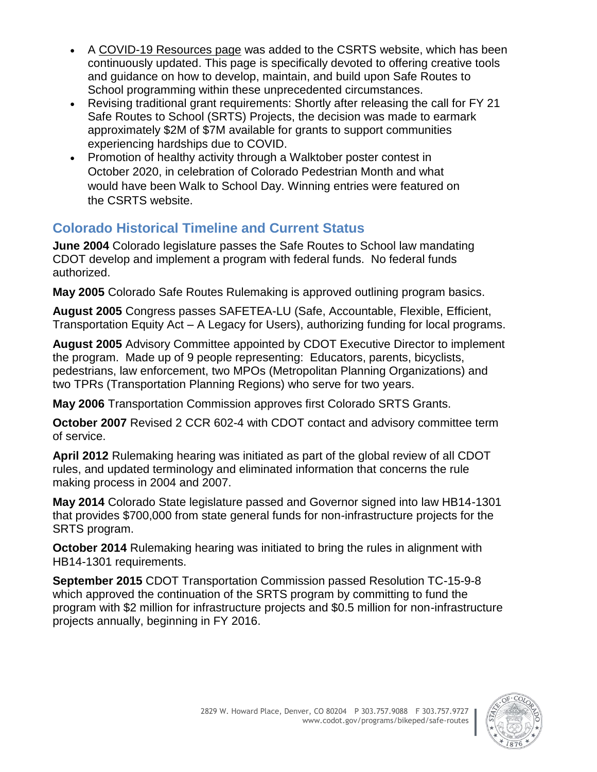- A [COVID-19 Resources page](https://www.codot.gov/programs/bikeped/safe-routes/srts-covid-resources/funding-evaluation) was added to the CSRTS website, which has been continuously updated. This page is specifically devoted to offering creative tools and guidance on how to develop, maintain, and build upon Safe Routes to School programming within these unprecedented circumstances.
- Revising traditional grant requirements: Shortly after releasing the call for FY 21 Safe Routes to School (SRTS) Projects, the decision was made to earmark approximately \$2M of \$7M available for grants to support communities experiencing hardships due to COVID.
- Promotion of healthy activity through a Walktober poster contest in October 2020, in celebration of Colorado Pedestrian Month and what would have been Walk to School Day. Winning entries were featured on the CSRTS website.

# **Colorado Historical Timeline and Current Status**

**June 2004** Colorado legislature passes the Safe Routes to School law mandating CDOT develop and implement a program with federal funds. No federal funds authorized.

**May 2005** Colorado Safe Routes Rulemaking is approved outlining program basics.

**August 2005** Congress passes SAFETEA-LU (Safe, Accountable, Flexible, Efficient, Transportation Equity Act – A Legacy for Users), authorizing funding for local programs.

**August 2005** Advisory Committee appointed by CDOT Executive Director to implement the program. Made up of 9 people representing: Educators, parents, bicyclists, pedestrians, law enforcement, two MPOs (Metropolitan Planning Organizations) and two TPRs (Transportation Planning Regions) who serve for two years.

**May 2006** Transportation Commission approves first Colorado SRTS Grants.

**October 2007** Revised 2 CCR 602-4 with CDOT contact and advisory committee term of service.

**April 2012** Rulemaking hearing was initiated as part of the global review of all CDOT rules, and updated terminology and eliminated information that concerns the rule making process in 2004 and 2007.

**May 2014** Colorado State legislature passed and Governor signed into law HB14-1301 that provides \$700,000 from state general funds for non-infrastructure projects for the SRTS program.

**October 2014** Rulemaking hearing was initiated to bring the rules in alignment with HB14-1301 requirements.

**September 2015** CDOT Transportation Commission passed Resolution TC-15-9-8 which approved the continuation of the SRTS program by committing to fund the program with \$2 million for infrastructure projects and \$0.5 million for non-infrastructure projects annually, beginning in FY 2016.